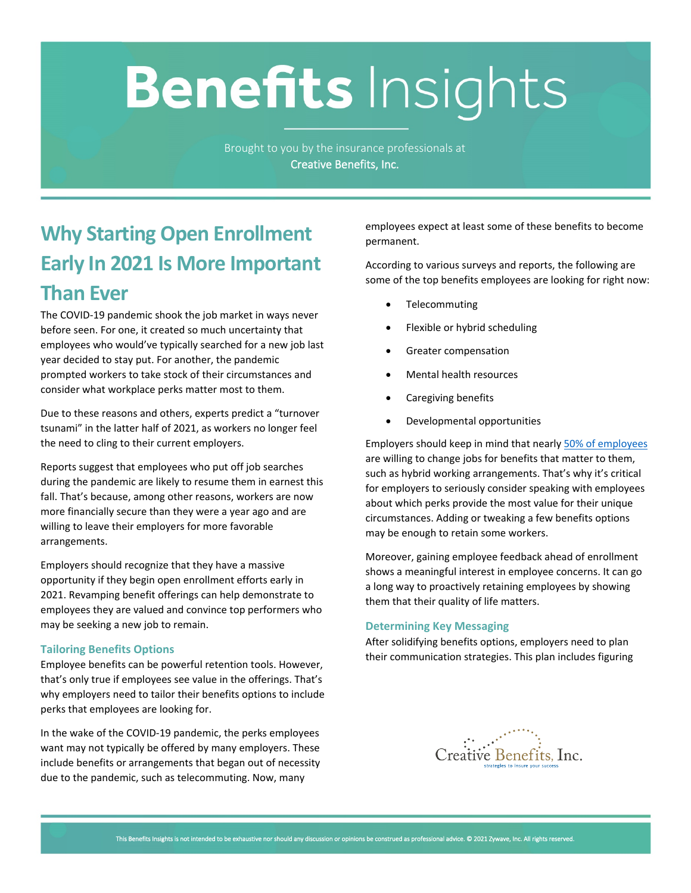# **Benefits Insights**

Brought to you by the insurance professionals at **Creative Benefits, Inc.**

# **Why Starting Open Enrollment Early In 2021 Is More Important Than Ever**

The COVID-19 pandemic shook the job market in ways never before seen. For one, it created so much uncertainty that employees who would've typically searched for a new job last year decided to stay put. For another, the pandemic prompted workers to take stock of their circumstances and consider what workplace perks matter most to them.

Due to these reasons and others, experts predict a "turnover tsunami" in the latter half of 2021, as workers no longer feel the need to cling to their current employers.

Reports suggest that employees who put off job searches during the pandemic are likely to resume them in earnest this fall. That's because, among other reasons, workers are now more financially secure than they were a year ago and are willing to leave their employers for more favorable arrangements.

Employers should recognize that they have a massive opportunity if they begin open enrollment efforts early in 2021. Revamping benefit offerings can help demonstrate to employees they are valued and convince top performers who may be seeking a new job to remain.

### **Tailoring Benefits Options**

Employee benefits can be powerful retention tools. However, that's only true if employees see value in the offerings. That's why employers need to tailor their benefits options to include perks that employees are looking for.

In the wake of the COVID-19 pandemic, the perks employees want may not typically be offered by many employers. These include benefits or arrangements that began out of necessity due to the pandemic, such as telecommuting. Now, many

employees expect at least some of these benefits to become permanent.

According to various surveys and reports, the following are some of the top benefits employees are looking for right now:

- Telecommuting
- Flexible or hybrid scheduling
- Greater compensation
- Mental health resources
- Caregiving benefits
- Developmental opportunities

Employers should keep in mind that nearly [50% of employees](https://hrexecutive.com/why-nearly-half-of-workers-might-leave-their-jobs-post-pandemic/) are willing to change jobs for benefits that matter to them, such as hybrid working arrangements. That's why it's critical for employers to seriously consider speaking with employees about which perks provide the most value for their unique circumstances. Adding or tweaking a few benefits options may be enough to retain some workers.

Moreover, gaining employee feedback ahead of enrollment shows a meaningful interest in employee concerns. It can go a long way to proactively retaining employees by showing them that their quality of life matters.

### **Determining Key Messaging**

After solidifying benefits options, employers need to plan their communication strategies. This plan includes figuring